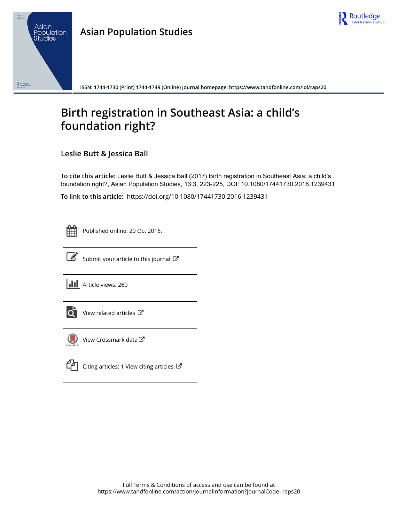

## **Asian Population Studies**



**ISSN: 1744-1730 (Print) 1744-1749 (Online) Journal homepage:<https://www.tandfonline.com/loi/raps20>**

# **Birth registration in Southeast Asia: a child's foundation right?**

**Leslie Butt & Jessica Ball**

**To cite this article:** Leslie Butt & Jessica Ball (2017) Birth registration in Southeast Asia: a child's foundation right?, Asian Population Studies, 13:3, 223-225, DOI: [10.1080/17441730.2016.1239431](https://www.tandfonline.com/action/showCitFormats?doi=10.1080/17441730.2016.1239431)

**To link to this article:** <https://doi.org/10.1080/17441730.2016.1239431>

|  | _ |  |
|--|---|--|
|  |   |  |
|  |   |  |
|  |   |  |

Published online: 20 Oct 2016.



 $\overrightarrow{S}$  [Submit your article to this journal](https://www.tandfonline.com/action/authorSubmission?journalCode=raps20&show=instructions)  $\overrightarrow{S}$ 

**III** Article views: 260



 $\overrightarrow{Q}$  [View related articles](https://www.tandfonline.com/doi/mlt/10.1080/17441730.2016.1239431)  $\overrightarrow{C}$ 



[View Crossmark data](http://crossmark.crossref.org/dialog/?doi=10.1080/17441730.2016.1239431&domain=pdf&date_stamp=2016-10-20)し



 $\mathbb{Z}$  [Citing articles: 1 View citing articles](https://www.tandfonline.com/doi/citedby/10.1080/17441730.2016.1239431#tabModule)  $\mathbb{Z}$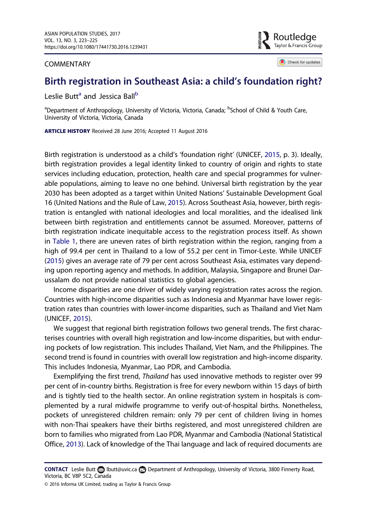#### <span id="page-1-0"></span>COMMENTARY

?outledae Tavlor & Francis Group

Check for updates

## Birth registration in Southeast Asia: a child's foundation right?

Leslie Butt<sup>a</sup> and Jessica Ball<sup>b</sup>

<sup>a</sup>Department of Anthropology, University of Victoria, Victoria, Canada; <sup>b</sup>School of Child & Youth Care, University of Victoria, Victoria, Canada

ARTICLE HISTORY Received 28 June 2016; Accepted 11 August 2016

Birth registration is understood as a child's 'foundation right' (UNICEF, [2015](#page-3-0), p. 3). Ideally, birth registration provides a legal identity linked to country of origin and rights to state services including education, protection, health care and special programmes for vulnerable populations, aiming to leave no one behind. Universal birth registration by the year 2030 has been adopted as a target within United Nations' Sustainable Development Goal 16 (United Nations and the Rule of Law, [2015](#page-3-0)). Across Southeast Asia, however, birth registration is entangled with national ideologies and local moralities, and the idealised link between birth registration and entitlements cannot be assumed. Moreover, patterns of birth registration indicate inequitable access to the registration process itself. As shown in [Table 1,](#page-2-0) there are uneven rates of birth registration within the region, ranging from a high of 99.4 per cent in Thailand to a low of 55.2 per cent in Timor-Leste. While UNICEF ([2015](#page-3-0)) gives an average rate of 79 per cent across Southeast Asia, estimates vary depending upon reporting agency and methods. In addition, Malaysia, Singapore and Brunei Darussalam do not provide national statistics to global agencies.

Income disparities are one driver of widely varying registration rates across the region. Countries with high-income disparities such as Indonesia and Myanmar have lower registration rates than countries with lower-income disparities, such as Thailand and Viet Nam (UNICEF, [2015](#page-3-0)).

We suggest that regional birth registration follows two general trends. The first characterises countries with overall high registration and low-income disparities, but with enduring pockets of low registration. This includes Thailand, Viet Nam, and the Philippines. The second trend is found in countries with overall low registration and high-income disparity. This includes Indonesia, Myanmar, Lao PDR, and Cambodia.

Exemplifying the first trend, Thailand has used innovative methods to register over 99 per cent of in-country births. Registration is free for every newborn within 15 days of birth and is tightly tied to the health sector. An online registration system in hospitals is complemented by a rural midwife programme to verify out-of-hospital births. Nonetheless, pockets of unregistered children remain: only 79 per cent of children living in homes with non-Thai speakers have their births registered, and most unregistered children are born to families who migrated from Lao PDR, Myanmar and Cambodia (National Statistical Office, [2013](#page-3-0)). Lack of knowledge of the Thai language and lack of required documents are

<sup>© 2016</sup> Informa UK Limited, trading as Taylor & Francis Group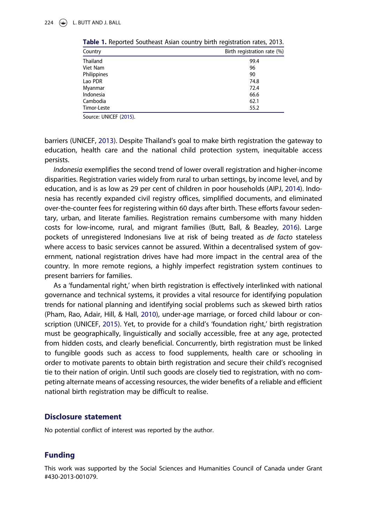| Country     | Birth registration rate (%) |
|-------------|-----------------------------|
| Thailand    | 99.4                        |
| Viet Nam    | 96                          |
| Philippines | 90                          |
| Lao PDR     | 74.8                        |
| Myanmar     | 72.4                        |
| Indonesia   | 66.6                        |
| Cambodia    | 62.1                        |
| Timor-Leste | 55.2                        |

<span id="page-2-0"></span>Table 1. Reported Southeast Asian country birth registration rates, 2013.

Source: UNICEF [\(2015](#page-3-0)).

barriers (UNICEF, [2013\)](#page-3-0). Despite Thailand's goal to make birth registration the gateway to education, health care and the national child protection system, inequitable access persists.

Indonesia exemplifies the second trend of lower overall registration and higher-income disparities. Registration varies widely from rural to urban settings, by income level, and by education, and is as low as 29 per cent of children in poor households (AIPJ, [2014\)](#page-3-0). Indonesia has recently expanded civil registry offices, simplified documents, and eliminated over-the-counter fees for registering within 60 days after birth. These efforts favour sedentary, urban, and literate families. Registration remains cumbersome with many hidden costs for low-income, rural, and migrant families (Butt, Ball, & Beazley, [2016](#page-3-0)). Large pockets of unregistered Indonesians live at risk of being treated as *de facto* stateless where access to basic services cannot be assured. Within a decentralised system of government, national registration drives have had more impact in the central area of the country. In more remote regions, a highly imperfect registration system continues to present barriers for families.

As a 'fundamental right,' when birth registration is effectively interlinked with national governance and technical systems, it provides a vital resource for identifying population trends for national planning and identifying social problems such as skewed birth ratios (Pham, Rao, Adair, Hill, & Hall, [2010\)](#page-3-0), under-age marriage, or forced child labour or conscription (UNICEF, [2015](#page-3-0)). Yet, to provide for a child's 'foundation right,' birth registration must be geographically, linguistically and socially accessible, free at any age, protected from hidden costs, and clearly beneficial. Concurrently, birth registration must be linked to fungible goods such as access to food supplements, health care or schooling in order to motivate parents to obtain birth registration and secure their child's recognised tie to their nation of origin. Until such goods are closely tied to registration, with no competing alternate means of accessing resources, the wider benefits of a reliable and efficient national birth registration may be difficult to realise.

### Disclosure statement

No potential conflict of interest was reported by the author.

## Funding

This work was supported by the Social Sciences and Humanities Council of Canada under Grant #430-2013-001079.